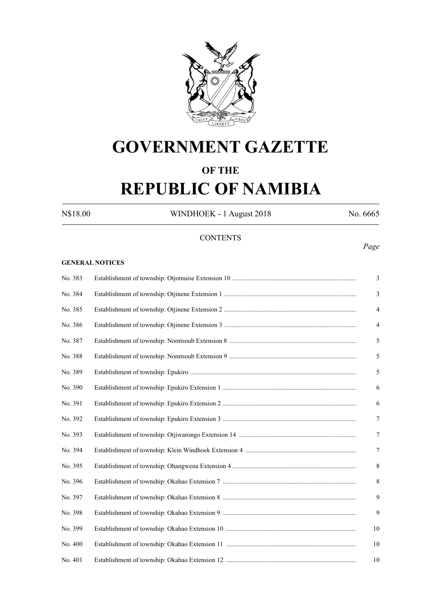

## **GOVERNMENT GAZETTE**

## **OF THE**

# **REPUBLIC OF NAMIBIA**

N\$18.00 WINDHOEK - 1 August 2018 No. 6665

## **CONTENTS**

#### **GENERAL NOTICES**

| No. 383 | 3              |
|---------|----------------|
| No. 384 | 3              |
| No. 385 | $\overline{4}$ |
| No. 386 | $\overline{4}$ |
| No. 387 | 5              |
| No. 388 | $\sqrt{5}$     |
| No. 389 | 5              |
| No. 390 | 6              |
| No. 391 | 6              |
| No. 392 | $\overline{7}$ |
| No. 393 | $\overline{7}$ |
| No. 394 | $\tau$         |
| No. 395 | $\,$ 8 $\,$    |
| No. 396 | $\,8\,$        |
| No. 397 | 9              |
| No. 398 | 9              |
| No. 399 | 10             |
| No. 400 | 10             |
| No. 401 | 10             |

## *Page*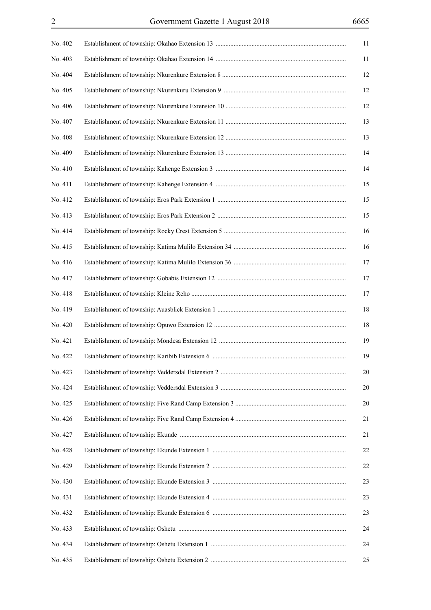| No. 402 | 11     |  |
|---------|--------|--|
| No. 403 | 11     |  |
| No. 404 | 12     |  |
| No. 405 | 12     |  |
| No. 406 | 12     |  |
| No. 407 | 13     |  |
| No. 408 | 13     |  |
| No. 409 | 14     |  |
| No. 410 | 14     |  |
| No. 411 | 15     |  |
| No. 412 | 15     |  |
| No. 413 | 15     |  |
| No. 414 | 16     |  |
| No. 415 | 16     |  |
| No. 416 | 17     |  |
| No. 417 | 17     |  |
| No. 418 | 17     |  |
| No. 419 | $18\,$ |  |
| No. 420 | $18\,$ |  |
| No. 421 | 19     |  |
| No. 422 | 19     |  |
| No. 423 | 20     |  |
| No. 424 | 20     |  |
| No. 425 | 20     |  |
| No. 426 | 21     |  |
| No. 427 | 21     |  |
| No. 428 | $22\,$ |  |
| No. 429 | $22\,$ |  |
| No. 430 | 23     |  |
| No. 431 | 23     |  |
| No. 432 | 23     |  |
| No. 433 | 24     |  |
| No. 434 | 24     |  |
| No. 435 | 25     |  |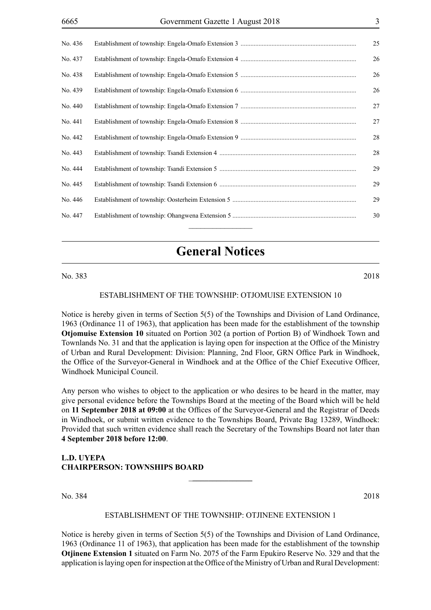| No. 436 | 25 |
|---------|----|
| No. 437 | 26 |
| No. 438 | 26 |
| No. 439 | 26 |
| No. 440 | 27 |
| No. 441 | 27 |
| No. 442 | 28 |
| No. 443 | 28 |
| No. 444 | 29 |
| No. 445 | 29 |
| No. 446 | 29 |
| No. 447 | 30 |
|         |    |

## **General Notices**

No. 383 2018

#### ESTABLISHMENT OF THE TOWNSHIP: OTJOMUISE extension 10

Notice is hereby given in terms of Section 5(5) of the Townships and Division of Land Ordinance, 1963 (Ordinance 11 of 1963), that application has been made for the establishment of the township **Otjomuise Extension 10** situated on Portion 302 (a portion of Portion B) of Windhoek Town and Townlands No. 31 and that the application is laying open for inspection at the Office of the Ministry of Urban and Rural Development: Division: Planning, 2nd Floor, GRN Office Park in Windhoek, the Office of the Surveyor-General in Windhoek and at the Office of the Chief Executive Officer, Windhoek Municipal Council.

Any person who wishes to object to the application or who desires to be heard in the matter, may give personal evidence before the Townships Board at the meeting of the Board which will be held on **11 September 2018 at 09:00** at the Offices of the Surveyor-General and the Registrar of Deeds in Windhoek, or submit written evidence to the Townships Board, Private Bag 13289, Windhoek: Provided that such written evidence shall reach the Secretary of the Townships Board not later than **4 September 2018 before 12:00**.

#### **L.D. UYEPA CHAIRPERSON: TOWNSHIPS BOARD**

No. 384 2018

#### ESTABLISHMENT OF THE TOWNSHIP: OTJINENE extension 1

\_**\_\_\_\_\_\_\_\_\_\_\_\_\_\_\_**

Notice is hereby given in terms of Section 5(5) of the Townships and Division of Land Ordinance, 1963 (Ordinance 11 of 1963), that application has been made for the establishment of the township **Otjinene Extension 1** situated on Farm No. 2075 of the Farm Epukiro Reserve No. 329 and that the application is laying open for inspection at the Office of the Ministry of Urban and Rural Development: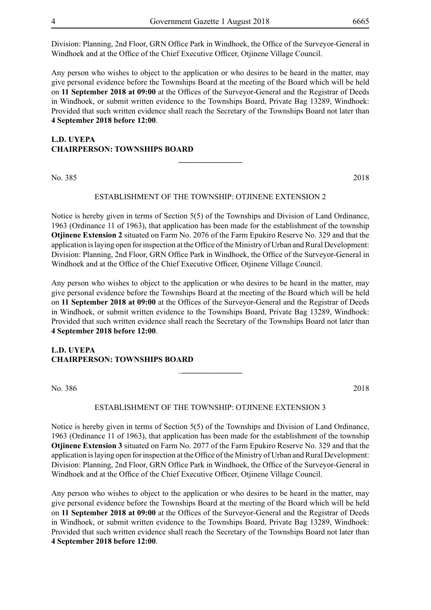Division: Planning, 2nd Floor, GRN Office Park in Windhoek, the Office of the Surveyor-General in Windhoek and at the Office of the Chief Executive Officer, Otjinene Village Council.

Any person who wishes to object to the application or who desires to be heard in the matter, may give personal evidence before the Townships Board at the meeting of the Board which will be held on **11 September 2018 at 09:00** at the Offices of the Surveyor-General and the Registrar of Deeds in Windhoek, or submit written evidence to the Townships Board, Private Bag 13289, Windhoek: Provided that such written evidence shall reach the Secretary of the Townships Board not later than **4 September 2018 before 12:00**.

## **L.D. UYEPA CHAIRPERSON: TOWNSHIPS BOARD**

No. 385 2018

#### ESTABLISHMENT OF THE TOWNSHIP: OTJINENE extension 2

**\_\_\_\_\_\_\_\_\_\_\_\_\_\_\_\_**

Notice is hereby given in terms of Section 5(5) of the Townships and Division of Land Ordinance, 1963 (Ordinance 11 of 1963), that application has been made for the establishment of the township **Otjinene Extension 2** situated on Farm No. 2076 of the Farm Epukiro Reserve No. 329 and that the application is laying open for inspection at the Office of the Ministry of Urban and Rural Development: Division: Planning, 2nd Floor, GRN Office Park in Windhoek, the Office of the Surveyor-General in Windhoek and at the Office of the Chief Executive Officer, Otjinene Village Council.

Any person who wishes to object to the application or who desires to be heard in the matter, may give personal evidence before the Townships Board at the meeting of the Board which will be held on **11 September 2018 at 09:00** at the Offices of the Surveyor-General and the Registrar of Deeds in Windhoek, or submit written evidence to the Townships Board, Private Bag 13289, Windhoek: Provided that such written evidence shall reach the Secretary of the Townships Board not later than **4 September 2018 before 12:00**.

### **L.D. UYEPA CHAIRPERSON: TOWNSHIPS BOARD**

No. 386 2018

#### ESTABLISHMENT OF THE TOWNSHIP: OTJINENE extension 3

\_**\_\_\_\_\_\_\_\_\_\_\_\_\_\_\_**

Notice is hereby given in terms of Section 5(5) of the Townships and Division of Land Ordinance, 1963 (Ordinance 11 of 1963), that application has been made for the establishment of the township **Otjinene Extension 3** situated on Farm No. 2077 of the Farm Epukiro Reserve No. 329 and that the application is laying open for inspection at the Office of the Ministry of Urban and Rural Development: Division: Planning, 2nd Floor, GRN Office Park in Windhoek, the Office of the Surveyor-General in Windhoek and at the Office of the Chief Executive Officer, Otjinene Village Council.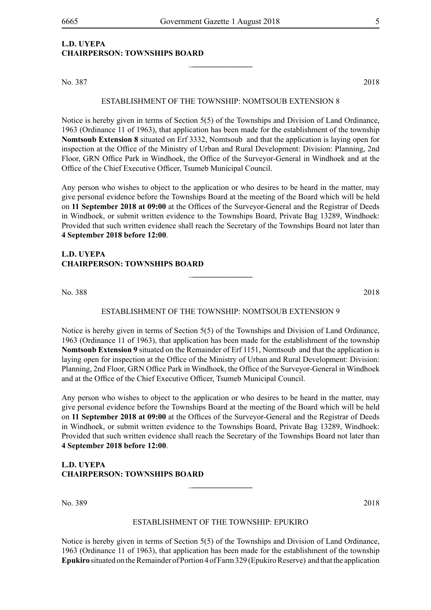\_**\_\_\_\_\_\_\_\_\_\_\_\_\_\_\_**

## **L.D. UYEPA CHAIRPERSON: TOWNSHIPS BOARD**

No. 387 2018

#### ESTABLISHMENT OF THE TOWNSHIP: NOMTSOUB extension 8

Notice is hereby given in terms of Section 5(5) of the Townships and Division of Land Ordinance, 1963 (Ordinance 11 of 1963), that application has been made for the establishment of the township **Nomtsoub Extension 8** situated on Erf 3332, Nomtsoub and that the application is laying open for inspection at the Office of the Ministry of Urban and Rural Development: Division: Planning, 2nd Floor, GRN Office Park in Windhoek, the Office of the Surveyor-General in Windhoek and at the Office of the Chief Executive Officer, Tsumeb Municipal Council.

Any person who wishes to object to the application or who desires to be heard in the matter, may give personal evidence before the Townships Board at the meeting of the Board which will be held on **11 September 2018 at 09:00** at the Offices of the Surveyor-General and the Registrar of Deeds in Windhoek, or submit written evidence to the Townships Board, Private Bag 13289, Windhoek: Provided that such written evidence shall reach the Secretary of the Townships Board not later than **4 September 2018 before 12:00**.

#### **L.D. UYEPA CHAIRPERSON: TOWNSHIPS BOARD**

No. 388 2018

#### ESTABLISHMENT OF THE TOWNSHIP: NOMTSOUB extension 9

\_**\_\_\_\_\_\_\_\_\_\_\_\_\_\_\_**

Notice is hereby given in terms of Section 5(5) of the Townships and Division of Land Ordinance, 1963 (Ordinance 11 of 1963), that application has been made for the establishment of the township **Nomtsoub Extension 9** situated on the Remainder of Erf 1151, Nomtsoub and that the application is laying open for inspection at the Office of the Ministry of Urban and Rural Development: Division: Planning, 2nd Floor, GRN Office Park in Windhoek, the Office of the Surveyor-General in Windhoek and at the Office of the Chief Executive Officer, Tsumeb Municipal Council.

Any person who wishes to object to the application or who desires to be heard in the matter, may give personal evidence before the Townships Board at the meeting of the Board which will be held on **11 September 2018 at 09:00** at the Offices of the Surveyor-General and the Registrar of Deeds in Windhoek, or submit written evidence to the Townships Board, Private Bag 13289, Windhoek: Provided that such written evidence shall reach the Secretary of the Townships Board not later than **4 September 2018 before 12:00**.

## **L.D. UYEPA CHAIRPERSON: TOWNSHIPS BOARD**

No. 389 2018

#### ESTABLISHMENT OF THE TOWNSHIP: EPUKIRO

\_**\_\_\_\_\_\_\_\_\_\_\_\_\_\_\_**

Notice is hereby given in terms of Section 5(5) of the Townships and Division of Land Ordinance, 1963 (Ordinance 11 of 1963), that application has been made for the establishment of the township **Epukiro** situated on the Remainder of Portion 4 of Farm 329 (Epukiro Reserve) and that the application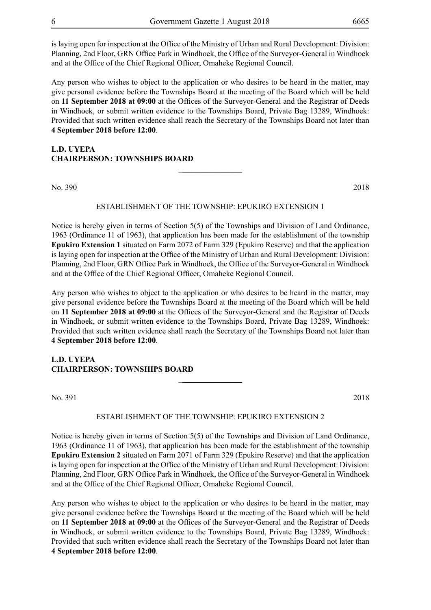is laying open for inspection at the Office of the Ministry of Urban and Rural Development: Division: Planning, 2nd Floor, GRN Office Park in Windhoek, the Office of the Surveyor-General in Windhoek and at the Office of the Chief Regional Officer, Omaheke Regional Council.

Any person who wishes to object to the application or who desires to be heard in the matter, may give personal evidence before the Townships Board at the meeting of the Board which will be held on **11 September 2018 at 09:00** at the Offices of the Surveyor-General and the Registrar of Deeds in Windhoek, or submit written evidence to the Townships Board, Private Bag 13289, Windhoek: Provided that such written evidence shall reach the Secretary of the Townships Board not later than **4 September 2018 before 12:00**.

## **L.D. UYEPA CHAIRPERSON: TOWNSHIPS BOARD**

No. 390 2018

#### ESTABLISHMENT OF THE TOWNSHIP: EPUKIRO EXTENSION 1

\_**\_\_\_\_\_\_\_\_\_\_\_\_\_\_\_**

Notice is hereby given in terms of Section 5(5) of the Townships and Division of Land Ordinance, 1963 (Ordinance 11 of 1963), that application has been made for the establishment of the township **Epukiro Extension 1** situated on Farm 2072 of Farm 329 (Epukiro Reserve) and that the application is laying open for inspection at the Office of the Ministry of Urban and Rural Development: Division: Planning, 2nd Floor, GRN Office Park in Windhoek, the Office of the Surveyor-General in Windhoek and at the Office of the Chief Regional Officer, Omaheke Regional Council.

Any person who wishes to object to the application or who desires to be heard in the matter, may give personal evidence before the Townships Board at the meeting of the Board which will be held on **11 September 2018 at 09:00** at the Offices of the Surveyor-General and the Registrar of Deeds in Windhoek, or submit written evidence to the Townships Board, Private Bag 13289, Windhoek: Provided that such written evidence shall reach the Secretary of the Townships Board not later than **4 September 2018 before 12:00**.

#### **L.D. UYEPA CHAIRPERSON: TOWNSHIPS BOARD**

No. 391 2018

#### ESTABLISHMENT OF THE TOWNSHIP: EPUKIRO EXTENSION 2

\_**\_\_\_\_\_\_\_\_\_\_\_\_\_\_\_**

Notice is hereby given in terms of Section 5(5) of the Townships and Division of Land Ordinance, 1963 (Ordinance 11 of 1963), that application has been made for the establishment of the township **Epukiro Extension 2** situated on Farm 2071 of Farm 329 (Epukiro Reserve) and that the application is laying open for inspection at the Office of the Ministry of Urban and Rural Development: Division: Planning, 2nd Floor, GRN Office Park in Windhoek, the Office of the Surveyor-General in Windhoek and at the Office of the Chief Regional Officer, Omaheke Regional Council.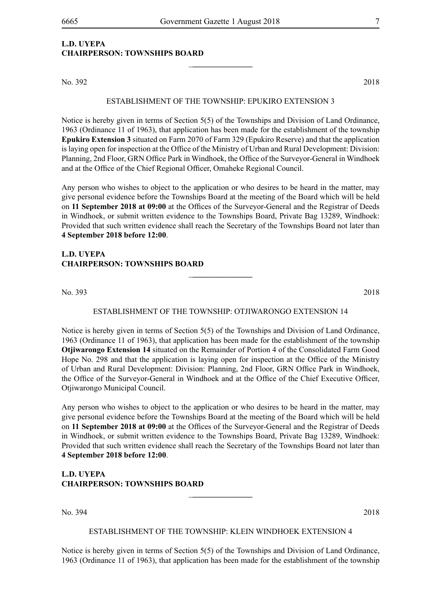## **L.D. UYEPA CHAIRPERSON: TOWNSHIPS BOARD**

No. 392 2018

#### ESTABLISHMENT OF THE TOWNSHIP: EPUKIRO EXTENSION 3

\_**\_\_\_\_\_\_\_\_\_\_\_\_\_\_\_**

Notice is hereby given in terms of Section 5(5) of the Townships and Division of Land Ordinance, 1963 (Ordinance 11 of 1963), that application has been made for the establishment of the township **Epukiro Extension 3** situated on Farm 2070 of Farm 329 (Epukiro Reserve) and that the application is laying open for inspection at the Office of the Ministry of Urban and Rural Development: Division: Planning, 2nd Floor, GRN Office Park in Windhoek, the Office of the Surveyor-General in Windhoek and at the Office of the Chief Regional Officer, Omaheke Regional Council.

Any person who wishes to object to the application or who desires to be heard in the matter, may give personal evidence before the Townships Board at the meeting of the Board which will be held on **11 September 2018 at 09:00** at the Offices of the Surveyor-General and the Registrar of Deeds in Windhoek, or submit written evidence to the Townships Board, Private Bag 13289, Windhoek: Provided that such written evidence shall reach the Secretary of the Townships Board not later than **4 September 2018 before 12:00**.

#### **L.D. UYEPA CHAIRPERSON: TOWNSHIPS BOARD**

No. 393 2018

#### ESTABLISHMENT OF THE TOWNSHIP: OTJIWARONGO EXTENSION 14

\_**\_\_\_\_\_\_\_\_\_\_\_\_\_\_\_**

Notice is hereby given in terms of Section 5(5) of the Townships and Division of Land Ordinance, 1963 (Ordinance 11 of 1963), that application has been made for the establishment of the township **Otjiwarongo Extension 14** situated on the Remainder of Portion 4 of the Consolidated Farm Good Hope No. 298 and that the application is laying open for inspection at the Office of the Ministry of Urban and Rural Development: Division: Planning, 2nd Floor, GRN Office Park in Windhoek, the Office of the Surveyor-General in Windhoek and at the Office of the Chief Executive Officer, Otjiwarongo Municipal Council.

Any person who wishes to object to the application or who desires to be heard in the matter, may give personal evidence before the Townships Board at the meeting of the Board which will be held on **11 September 2018 at 09:00** at the Offices of the Surveyor-General and the Registrar of Deeds in Windhoek, or submit written evidence to the Townships Board, Private Bag 13289, Windhoek: Provided that such written evidence shall reach the Secretary of the Townships Board not later than **4 September 2018 before 12:00**.

## **L.D. UYEPA CHAIRPERSON: TOWNSHIPS BOARD**

No. 394 2018

#### ESTABLISHMENT OF THE TOWNSHIP: KLEIN WINDHOEK extension 4

\_**\_\_\_\_\_\_\_\_\_\_\_\_\_\_\_**

Notice is hereby given in terms of Section 5(5) of the Townships and Division of Land Ordinance, 1963 (Ordinance 11 of 1963), that application has been made for the establishment of the township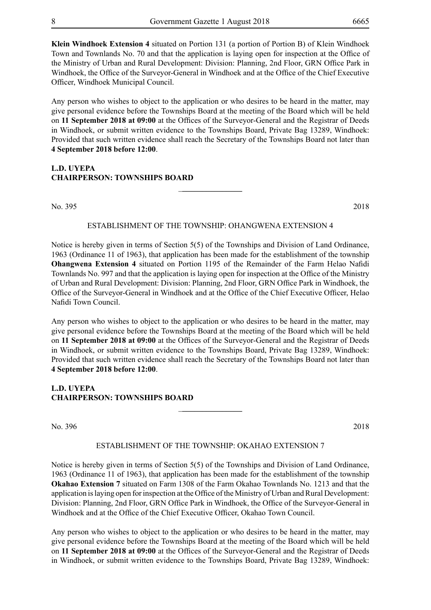**Klein Windhoek Extension 4** situated on Portion 131 (a portion of Portion B) of Klein Windhoek Town and Townlands No. 70 and that the application is laying open for inspection at the Office of the Ministry of Urban and Rural Development: Division: Planning, 2nd Floor, GRN Office Park in Windhoek, the Office of the Surveyor-General in Windhoek and at the Office of the Chief Executive Officer, Windhoek Municipal Council.

Any person who wishes to object to the application or who desires to be heard in the matter, may give personal evidence before the Townships Board at the meeting of the Board which will be held on **11 September 2018 at 09:00** at the Offices of the Surveyor-General and the Registrar of Deeds in Windhoek, or submit written evidence to the Townships Board, Private Bag 13289, Windhoek: Provided that such written evidence shall reach the Secretary of the Townships Board not later than **4 September 2018 before 12:00**.

### **L.D. UYEPA CHAIRPERSON: TOWNSHIPS BOARD**

No. 395 2018

#### ESTABLISHMENT OF THE TOWNSHIP: OHANGWENA extension 4

\_**\_\_\_\_\_\_\_\_\_\_\_\_\_\_\_**

Notice is hereby given in terms of Section 5(5) of the Townships and Division of Land Ordinance, 1963 (Ordinance 11 of 1963), that application has been made for the establishment of the township **Ohangwena Extension 4** situated on Portion 1195 of the Remainder of the Farm Helao Nafidi Townlands No. 997 and that the application is laying open for inspection at the Office of the Ministry of Urban and Rural Development: Division: Planning, 2nd Floor, GRN Office Park in Windhoek, the Office of the Surveyor-General in Windhoek and at the Office of the Chief Executive Officer, Helao Nafidi Town Council.

Any person who wishes to object to the application or who desires to be heard in the matter, may give personal evidence before the Townships Board at the meeting of the Board which will be held on **11 September 2018 at 09:00** at the Offices of the Surveyor-General and the Registrar of Deeds in Windhoek, or submit written evidence to the Townships Board, Private Bag 13289, Windhoek: Provided that such written evidence shall reach the Secretary of the Townships Board not later than **4 September 2018 before 12:00**.

### **L.D. UYEPA CHAIRPERSON: TOWNSHIPS BOARD**

No. 396 2018

#### ESTABLISHMENT OF THE TOWNSHIP: OKAHAO extension 7

\_**\_\_\_\_\_\_\_\_\_\_\_\_\_\_\_**

Notice is hereby given in terms of Section 5(5) of the Townships and Division of Land Ordinance, 1963 (Ordinance 11 of 1963), that application has been made for the establishment of the township **Okahao Extension 7** situated on Farm 1308 of the Farm Okahao Townlands No. 1213 and that the application is laying open for inspection at the Office of the Ministry of Urban and Rural Development: Division: Planning, 2nd Floor, GRN Office Park in Windhoek, the Office of the Surveyor-General in Windhoek and at the Office of the Chief Executive Officer, Okahao Town Council.

Any person who wishes to object to the application or who desires to be heard in the matter, may give personal evidence before the Townships Board at the meeting of the Board which will be held on **11 September 2018 at 09:00** at the Offices of the Surveyor-General and the Registrar of Deeds in Windhoek, or submit written evidence to the Townships Board, Private Bag 13289, Windhoek: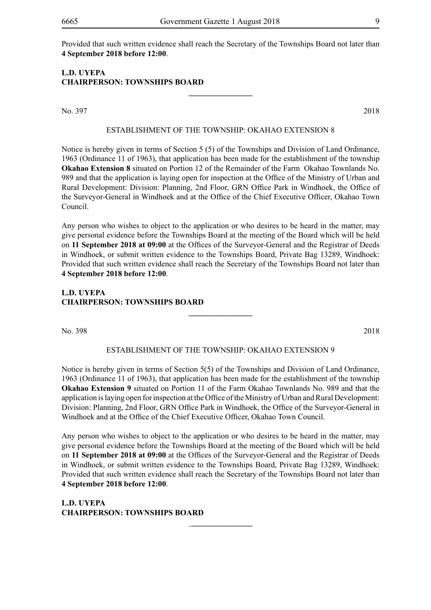Provided that such written evidence shall reach the Secretary of the Townships Board not later than **4 September 2018 before 12:00**.

## **L.D. UYEPA CHAIRPERSON: TOWNSHIPS BOARD**

No. 397 2018

#### ESTABLISHMENT OF THE TOWNSHIP: OKAHAO EXTENSION 8

**\_\_\_\_\_\_\_\_\_\_\_\_\_\_\_\_**

Notice is hereby given in terms of Section 5 (5) of the Townships and Division of Land Ordinance, 1963 (Ordinance 11 of 1963), that application has been made for the establishment of the township **Okahao Extension 8** situated on Portion 12 of the Remainder of the Farm Okahao Townlands No. 989 and that the application is laying open for inspection at the Office of the Ministry of Urban and Rural Development: Division: Planning, 2nd Floor, GRN Office Park in Windhoek, the Office of the Surveyor-General in Windhoek and at the Office of the Chief Executive Officer, Okahao Town Council.

Any person who wishes to object to the application or who desires to be heard in the matter, may give personal evidence before the Townships Board at the meeting of the Board which will be held on **11 September 2018 at 09:00** at the Offices of the Surveyor-General and the Registrar of Deeds in Windhoek, or submit written evidence to the Townships Board, Private Bag 13289, Windhoek: Provided that such written evidence shall reach the Secretary of the Townships Board not later than **4 September 2018 before 12:00**.

## **L.D. UYEPA CHAIRPERSON: TOWNSHIPS BOARD**

No. 398 2018

#### ESTABLISHMENT OF THE TOWNSHIP: OKAHAO extension 9

**\_\_\_\_\_\_\_\_\_\_\_\_\_\_\_\_**

Notice is hereby given in terms of Section 5(5) of the Townships and Division of Land Ordinance, 1963 (Ordinance 11 of 1963), that application has been made for the establishment of the township **Okahao Extension 9** situated on Portion 11 of the Farm Okahao Townlands No. 989 and that the application is laying open for inspection at the Office of the Ministry of Urban and Rural Development: Division: Planning, 2nd Floor, GRN Office Park in Windhoek, the Office of the Surveyor-General in Windhoek and at the Office of the Chief Executive Officer, Okahao Town Council.

Any person who wishes to object to the application or who desires to be heard in the matter, may give personal evidence before the Townships Board at the meeting of the Board which will be held on **11 September 2018 at 09:00** at the Offices of the Surveyor-General and the Registrar of Deeds in Windhoek, or submit written evidence to the Townships Board, Private Bag 13289, Windhoek: Provided that such written evidence shall reach the Secretary of the Townships Board not later than **4 September 2018 before 12:00**.

\_**\_\_\_\_\_\_\_\_\_\_\_\_\_\_\_**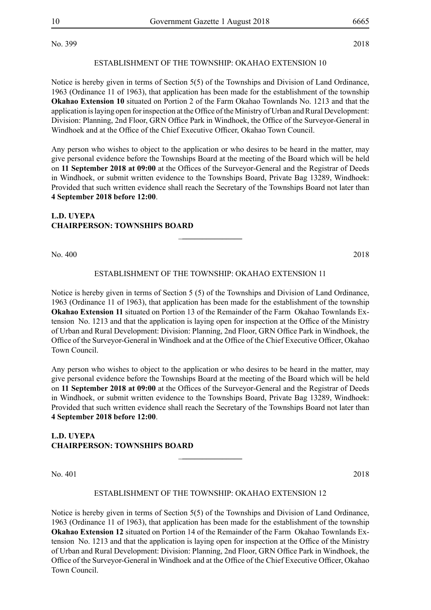No. 399 2018

#### ESTABLISHMENT OF THE TOWNSHIP: OKAHAO extension 10

Notice is hereby given in terms of Section 5(5) of the Townships and Division of Land Ordinance, 1963 (Ordinance 11 of 1963), that application has been made for the establishment of the township **Okahao Extension 10** situated on Portion 2 of the Farm Okahao Townlands No. 1213 and that the application is laying open for inspection at the Office of the Ministry of Urban and Rural Development: Division: Planning, 2nd Floor, GRN Office Park in Windhoek, the Office of the Surveyor-General in Windhoek and at the Office of the Chief Executive Officer, Okahao Town Council.

Any person who wishes to object to the application or who desires to be heard in the matter, may give personal evidence before the Townships Board at the meeting of the Board which will be held on **11 September 2018 at 09:00** at the Offices of the Surveyor-General and the Registrar of Deeds in Windhoek, or submit written evidence to the Townships Board, Private Bag 13289, Windhoek: Provided that such written evidence shall reach the Secretary of the Townships Board not later than **4 September 2018 before 12:00**.

## **L.D. UYEPA CHAIRPERSON: TOWNSHIPS BOARD**

No. 400 2018

#### ESTABLISHMENT OF THE TOWNSHIP: OKAHAO EXTENSION 11

\_**\_\_\_\_\_\_\_\_\_\_\_\_\_\_\_**

Notice is hereby given in terms of Section 5 (5) of the Townships and Division of Land Ordinance, 1963 (Ordinance 11 of 1963), that application has been made for the establishment of the township **Okahao Extension 11** situated on Portion 13 of the Remainder of the Farm Okahao Townlands Extension No. 1213 and that the application is laying open for inspection at the Office of the Ministry of Urban and Rural Development: Division: Planning, 2nd Floor, GRN Office Park in Windhoek, the Office of the Surveyor-General in Windhoek and at the Office of the Chief Executive Officer, Okahao Town Council.

Any person who wishes to object to the application or who desires to be heard in the matter, may give personal evidence before the Townships Board at the meeting of the Board which will be held on **11 September 2018 at 09:00** at the Offices of the Surveyor-General and the Registrar of Deeds in Windhoek, or submit written evidence to the Townships Board, Private Bag 13289, Windhoek: Provided that such written evidence shall reach the Secretary of the Townships Board not later than **4 September 2018 before 12:00**.

#### **L.D. UYEPA CHAIRPERSON: TOWNSHIPS BOARD**

No. 401 2018

#### ESTABLISHMENT OF THE TOWNSHIP: OKAHAO EXTENSION 12

\_**\_\_\_\_\_\_\_\_\_\_\_\_\_\_\_**

Notice is hereby given in terms of Section 5(5) of the Townships and Division of Land Ordinance, 1963 (Ordinance 11 of 1963), that application has been made for the establishment of the township **Okahao Extension 12** situated on Portion 14 of the Remainder of the Farm Okahao Townlands Extension No. 1213 and that the application is laying open for inspection at the Office of the Ministry of Urban and Rural Development: Division: Planning, 2nd Floor, GRN Office Park in Windhoek, the Office of the Surveyor-General in Windhoek and at the Office of the Chief Executive Officer, Okahao Town Council.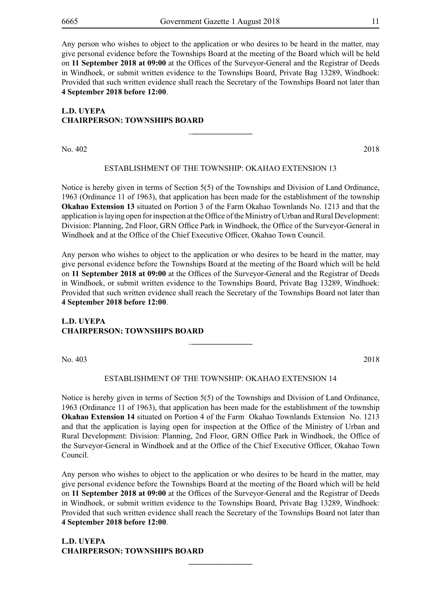Any person who wishes to object to the application or who desires to be heard in the matter, may give personal evidence before the Townships Board at the meeting of the Board which will be held on **11 September 2018 at 09:00** at the Offices of the Surveyor-General and the Registrar of Deeds in Windhoek, or submit written evidence to the Townships Board, Private Bag 13289, Windhoek: Provided that such written evidence shall reach the Secretary of the Townships Board not later than **4 September 2018 before 12:00**.

## **L.D. UYEPA CHAIRPERSON: TOWNSHIPS BOARD**

No. 402 2018

#### ESTABLISHMENT OF THE TOWNSHIP: OKAHAO extension 13

\_**\_\_\_\_\_\_\_\_\_\_\_\_\_\_\_**

Notice is hereby given in terms of Section 5(5) of the Townships and Division of Land Ordinance, 1963 (Ordinance 11 of 1963), that application has been made for the establishment of the township **Okahao Extension 13** situated on Portion 3 of the Farm Okahao Townlands No. 1213 and that the application is laying open for inspection at the Office of the Ministry of Urban and Rural Development: Division: Planning, 2nd Floor, GRN Office Park in Windhoek, the Office of the Surveyor-General in Windhoek and at the Office of the Chief Executive Officer, Okahao Town Council.

Any person who wishes to object to the application or who desires to be heard in the matter, may give personal evidence before the Townships Board at the meeting of the Board which will be held on **11 September 2018 at 09:00** at the Offices of the Surveyor-General and the Registrar of Deeds in Windhoek, or submit written evidence to the Townships Board, Private Bag 13289, Windhoek: Provided that such written evidence shall reach the Secretary of the Townships Board not later than **4 September 2018 before 12:00**.

### **L.D. UYEPA CHAIRPERSON: TOWNSHIPS BOARD**

No. 403 2018

#### ESTABLISHMENT OF THE TOWNSHIP: OKAHAO EXTENSION 14

\_**\_\_\_\_\_\_\_\_\_\_\_\_\_\_\_**

Notice is hereby given in terms of Section 5(5) of the Townships and Division of Land Ordinance, 1963 (Ordinance 11 of 1963), that application has been made for the establishment of the township **Okahao Extension 14** situated on Portion 4 of the Farm Okahao Townlands Extension No. 1213 and that the application is laying open for inspection at the Office of the Ministry of Urban and Rural Development: Division: Planning, 2nd Floor, GRN Office Park in Windhoek, the Office of the Surveyor-General in Windhoek and at the Office of the Chief Executive Officer, Okahao Town Council.

Any person who wishes to object to the application or who desires to be heard in the matter, may give personal evidence before the Townships Board at the meeting of the Board which will be held on **11 September 2018 at 09:00** at the Offices of the Surveyor-General and the Registrar of Deeds in Windhoek, or submit written evidence to the Townships Board, Private Bag 13289, Windhoek: Provided that such written evidence shall reach the Secretary of the Townships Board not later than **4 September 2018 before 12:00**.

**\_\_\_\_\_\_\_\_\_\_\_\_\_\_\_\_**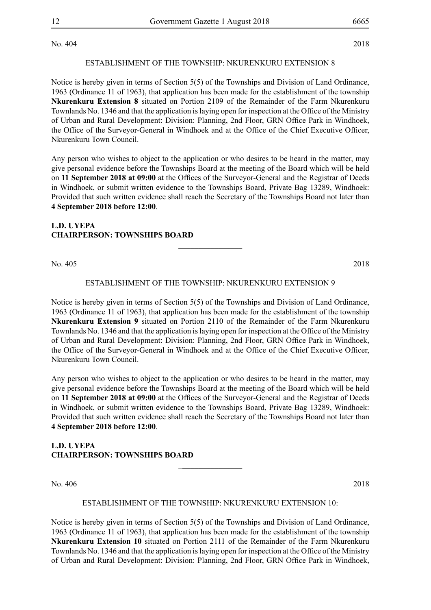No. 404 2018

#### ESTABLISHMENT OF THE TOWNSHIP: NKURENKURU extension 8

Notice is hereby given in terms of Section 5(5) of the Townships and Division of Land Ordinance, 1963 (Ordinance 11 of 1963), that application has been made for the establishment of the township **Nkurenkuru Extension 8** situated on Portion 2109 of the Remainder of the Farm Nkurenkuru Townlands No. 1346 and that the application is laying open for inspection at the Office of the Ministry of Urban and Rural Development: Division: Planning, 2nd Floor, GRN Office Park in Windhoek, the Office of the Surveyor-General in Windhoek and at the Office of the Chief Executive Officer, Nkurenkuru Town Council.

Any person who wishes to object to the application or who desires to be heard in the matter, may give personal evidence before the Townships Board at the meeting of the Board which will be held on **11 September 2018 at 09:00** at the Offices of the Surveyor-General and the Registrar of Deeds in Windhoek, or submit written evidence to the Townships Board, Private Bag 13289, Windhoek: Provided that such written evidence shall reach the Secretary of the Townships Board not later than **4 September 2018 before 12:00**.

## **L.D. UYEPA CHAIRPERSON: TOWNSHIPS BOARD**

No. 405 2018

#### ESTABLISHMENT OF THE TOWNSHIP: NKURENKURU extension 9

**\_\_\_\_\_\_\_\_\_\_\_\_\_\_\_\_**

Notice is hereby given in terms of Section 5(5) of the Townships and Division of Land Ordinance, 1963 (Ordinance 11 of 1963), that application has been made for the establishment of the township **Nkurenkuru Extension 9** situated on Portion 2110 of the Remainder of the Farm Nkurenkuru Townlands No. 1346 and that the application is laying open for inspection at the Office of the Ministry of Urban and Rural Development: Division: Planning, 2nd Floor, GRN Office Park in Windhoek, the Office of the Surveyor-General in Windhoek and at the Office of the Chief Executive Officer, Nkurenkuru Town Council.

Any person who wishes to object to the application or who desires to be heard in the matter, may give personal evidence before the Townships Board at the meeting of the Board which will be held on **11 September 2018 at 09:00** at the Offices of the Surveyor-General and the Registrar of Deeds in Windhoek, or submit written evidence to the Townships Board, Private Bag 13289, Windhoek: Provided that such written evidence shall reach the Secretary of the Townships Board not later than **4 September 2018 before 12:00**.

## **L.D. UYEPA CHAIRPERSON: TOWNSHIPS BOARD**

No. 406 2018

#### ESTABLISHMENT OF THE TOWNSHIP: NKURENKURU extension 10:

\_**\_\_\_\_\_\_\_\_\_\_\_\_\_\_\_**

Notice is hereby given in terms of Section 5(5) of the Townships and Division of Land Ordinance, 1963 (Ordinance 11 of 1963), that application has been made for the establishment of the township **Nkurenkuru Extension 10** situated on Portion 2111 of the Remainder of the Farm Nkurenkuru Townlands No. 1346 and that the application is laying open for inspection at the Office of the Ministry of Urban and Rural Development: Division: Planning, 2nd Floor, GRN Office Park in Windhoek,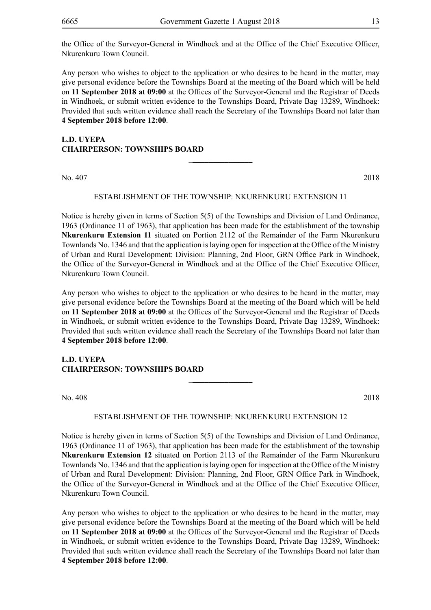the Office of the Surveyor-General in Windhoek and at the Office of the Chief Executive Officer, Nkurenkuru Town Council.

Any person who wishes to object to the application or who desires to be heard in the matter, may give personal evidence before the Townships Board at the meeting of the Board which will be held on **11 September 2018 at 09:00** at the Offices of the Surveyor-General and the Registrar of Deeds in Windhoek, or submit written evidence to the Townships Board, Private Bag 13289, Windhoek: Provided that such written evidence shall reach the Secretary of the Townships Board not later than **4 September 2018 before 12:00**.

## **L.D. UYEPA CHAIRPERSON: TOWNSHIPS BOARD**

No. 407 2018

#### ESTABLISHMENT OF THE TOWNSHIP: NKURENKURU extension 11

\_**\_\_\_\_\_\_\_\_\_\_\_\_\_\_\_**

Notice is hereby given in terms of Section 5(5) of the Townships and Division of Land Ordinance, 1963 (Ordinance 11 of 1963), that application has been made for the establishment of the township **Nkurenkuru Extension 11** situated on Portion 2112 of the Remainder of the Farm Nkurenkuru Townlands No. 1346 and that the application is laying open for inspection at the Office of the Ministry of Urban and Rural Development: Division: Planning, 2nd Floor, GRN Office Park in Windhoek, the Office of the Surveyor-General in Windhoek and at the Office of the Chief Executive Officer, Nkurenkuru Town Council.

Any person who wishes to object to the application or who desires to be heard in the matter, may give personal evidence before the Townships Board at the meeting of the Board which will be held on **11 September 2018 at 09:00** at the Offices of the Surveyor-General and the Registrar of Deeds in Windhoek, or submit written evidence to the Townships Board, Private Bag 13289, Windhoek: Provided that such written evidence shall reach the Secretary of the Townships Board not later than **4 September 2018 before 12:00**.

#### **L.D. UYEPA CHAIRPERSON: TOWNSHIPS BOARD**

No. 408 2018

#### ESTABLISHMENT OF THE TOWNSHIP: NKURENKURU extension 12

\_**\_\_\_\_\_\_\_\_\_\_\_\_\_\_\_**

Notice is hereby given in terms of Section 5(5) of the Townships and Division of Land Ordinance, 1963 (Ordinance 11 of 1963), that application has been made for the establishment of the township **Nkurenkuru Extension 12** situated on Portion 2113 of the Remainder of the Farm Nkurenkuru Townlands No. 1346 and that the application is laying open for inspection at the Office of the Ministry of Urban and Rural Development: Division: Planning, 2nd Floor, GRN Office Park in Windhoek, the Office of the Surveyor-General in Windhoek and at the Office of the Chief Executive Officer, Nkurenkuru Town Council.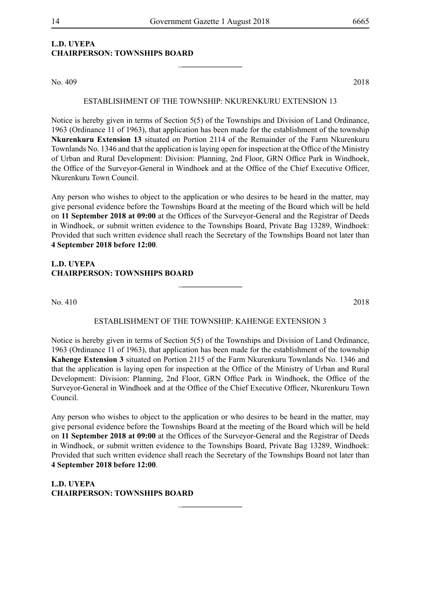\_**\_\_\_\_\_\_\_\_\_\_\_\_\_\_\_**

## **L.D. UYEPA CHAIRPERSON: TOWNSHIPS BOARD**

No. 409 2018

#### ESTABLISHMENT OF THE TOWNSHIP: NKURENKURU extension 13

Notice is hereby given in terms of Section 5(5) of the Townships and Division of Land Ordinance, 1963 (Ordinance 11 of 1963), that application has been made for the establishment of the township **Nkurenkuru Extension 13** situated on Portion 2114 of the Remainder of the Farm Nkurenkuru Townlands No. 1346 and that the application is laying open for inspection at the Office of the Ministry of Urban and Rural Development: Division: Planning, 2nd Floor, GRN Office Park in Windhoek, the Office of the Surveyor-General in Windhoek and at the Office of the Chief Executive Officer, Nkurenkuru Town Council.

Any person who wishes to object to the application or who desires to be heard in the matter, may give personal evidence before the Townships Board at the meeting of the Board which will be held on **11 September 2018 at 09:00** at the Offices of the Surveyor-General and the Registrar of Deeds in Windhoek, or submit written evidence to the Townships Board, Private Bag 13289, Windhoek: Provided that such written evidence shall reach the Secretary of the Townships Board not later than **4 September 2018 before 12:00**.

## **L.D. UYEPA CHAIRPERSON: TOWNSHIPS BOARD**

No. 410 2018

#### ESTABLISHMENT OF THE TOWNSHIP: KAHENGE extension 3

\_**\_\_\_\_\_\_\_\_\_\_\_\_\_\_\_**

Notice is hereby given in terms of Section 5(5) of the Townships and Division of Land Ordinance, 1963 (Ordinance 11 of 1963), that application has been made for the establishment of the township **Kahenge Extension 3** situated on Portion 2115 of the Farm Nkurenkuru Townlands No. 1346 and that the application is laying open for inspection at the Office of the Ministry of Urban and Rural Development: Division: Planning, 2nd Floor, GRN Office Park in Windhoek, the Office of the Surveyor-General in Windhoek and at the Office of the Chief Executive Officer, Nkurenkuru Town Council.

Any person who wishes to object to the application or who desires to be heard in the matter, may give personal evidence before the Townships Board at the meeting of the Board which will be held on **11 September 2018 at 09:00** at the Offices of the Surveyor-General and the Registrar of Deeds in Windhoek, or submit written evidence to the Townships Board, Private Bag 13289, Windhoek: Provided that such written evidence shall reach the Secretary of the Townships Board not later than **4 September 2018 before 12:00**.

\_**\_\_\_\_\_\_\_\_\_\_\_\_\_\_\_**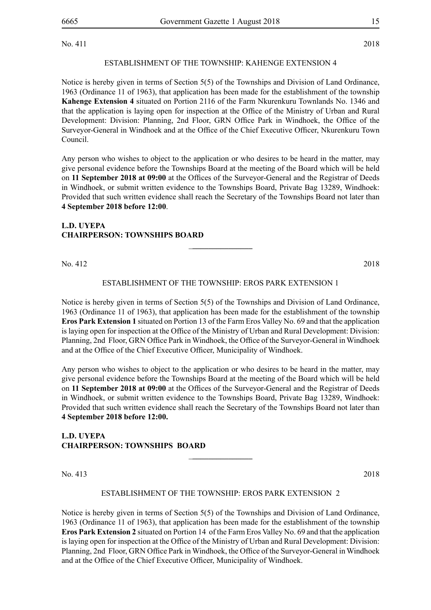No. 411 2018

### ESTABLISHMENT OF THE TOWNSHIP: KAHENGE extension 4

Notice is hereby given in terms of Section 5(5) of the Townships and Division of Land Ordinance, 1963 (Ordinance 11 of 1963), that application has been made for the establishment of the township **Kahenge Extension 4** situated on Portion 2116 of the Farm Nkurenkuru Townlands No. 1346 and that the application is laying open for inspection at the Office of the Ministry of Urban and Rural Development: Division: Planning, 2nd Floor, GRN Office Park in Windhoek, the Office of the Surveyor-General in Windhoek and at the Office of the Chief Executive Officer, Nkurenkuru Town Council.

Any person who wishes to object to the application or who desires to be heard in the matter, may give personal evidence before the Townships Board at the meeting of the Board which will be held on **11 September 2018 at 09:00** at the Offices of the Surveyor-General and the Registrar of Deeds in Windhoek, or submit written evidence to the Townships Board, Private Bag 13289, Windhoek: Provided that such written evidence shall reach the Secretary of the Townships Board not later than **4 September 2018 before 12:00**.

### **L.D. UYEPA CHAIRPERSON: TOWNSHIPS BOARD**

No. 412 2018

### ESTABLISHMENT OF THE TOWNSHIP: EROS PARK EXTENSION 1

\_**\_\_\_\_\_\_\_\_\_\_\_\_\_\_\_**

Notice is hereby given in terms of Section 5(5) of the Townships and Division of Land Ordinance, 1963 (Ordinance 11 of 1963), that application has been made for the establishment of the township **Eros Park Extension 1** situated on Portion 13 of the Farm Eros Valley No. 69 and that the application is laying open for inspection at the Office of the Ministry of Urban and Rural Development: Division: Planning, 2nd Floor, GRN Office Park in Windhoek, the Office of the Surveyor-General in Windhoek and at the Office of the Chief Executive Officer, Municipality of Windhoek.

Any person who wishes to object to the application or who desires to be heard in the matter, may give personal evidence before the Townships Board at the meeting of the Board which will be held on **11 September 2018 at 09:00** at the Offices of the Surveyor-General and the Registrar of Deeds in Windhoek, or submit written evidence to the Townships Board, Private Bag 13289, Windhoek: Provided that such written evidence shall reach the Secretary of the Townships Board not later than **4 September 2018 before 12:00.**

### **L.D. UYEPA CHAIRPERSON: TOWNSHIPS BOARD**

No. 413 2018

#### ESTABLISHMENT OF THE TOWNSHIP: EROS PARK EXTENSION 2

\_**\_\_\_\_\_\_\_\_\_\_\_\_\_\_\_**

Notice is hereby given in terms of Section 5(5) of the Townships and Division of Land Ordinance, 1963 (Ordinance 11 of 1963), that application has been made for the establishment of the township **Eros Park Extension 2** situated on Portion 14 of the Farm Eros Valley No. 69 and that the application is laying open for inspection at the Office of the Ministry of Urban and Rural Development: Division: Planning, 2nd Floor, GRN Office Park in Windhoek, the Office of the Surveyor-General in Windhoek and at the Office of the Chief Executive Officer, Municipality of Windhoek.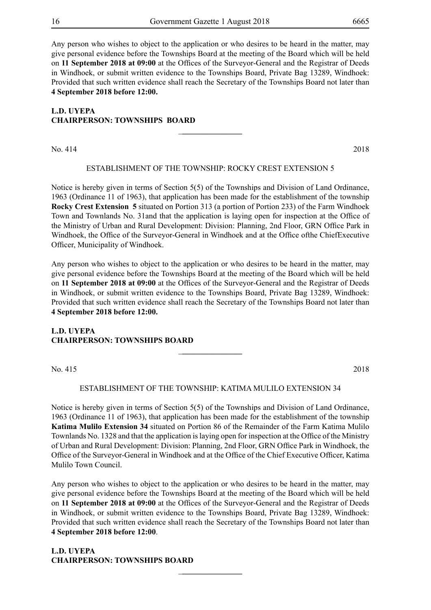Any person who wishes to object to the application or who desires to be heard in the matter, may give personal evidence before the Townships Board at the meeting of the Board which will be held on **11 September 2018 at 09:00** at the Offices of the Surveyor-General and the Registrar of Deeds in Windhoek, or submit written evidence to the Townships Board, Private Bag 13289, Windhoek: Provided that such written evidence shall reach the Secretary of the Townships Board not later than **4 September 2018 before 12:00.**

## **L.D. UYEPA CHAIRPERSON: TOWNSHIPS BOARD**

No. 414 2018

#### ESTABLISHMENT OF THE TOWNSHIP: ROCKY CREST EXTENSION 5

\_**\_\_\_\_\_\_\_\_\_\_\_\_\_\_\_**

Notice is hereby given in terms of Section 5(5) of the Townships and Division of Land Ordinance, 1963 (Ordinance 11 of 1963), that application has been made for the establishment of the township **Rocky Crest Extension 5** situated on Portion 313 (a portion of Portion 233) of the Farm Windhoek Town and Townlands No. 31and that the application is laying open for inspection at the Office of the Ministry of Urban and Rural Development: Division: Planning, 2nd Floor, GRN Office Park in Windhoek, the Office of the Surveyor-General in Windhoek and at the Office ofthe ChiefExecutive Officer, Municipality of Windhoek.

Any person who wishes to object to the application or who desires to be heard in the matter, may give personal evidence before the Townships Board at the meeting of the Board which will be held on **11 September 2018 at 09:00** at the Offices of the Surveyor-General and the Registrar of Deeds in Windhoek, or submit written evidence to the Townships Board, Private Bag 13289, Windhoek: Provided that such written evidence shall reach the Secretary of the Townships Board not later than **4 September 2018 before 12:00.**

### **L.D. UYEPA CHAIRPERSON: TOWNSHIPS BOARD**

No. 415 2018

#### ESTABLISHMENT OF THE TOWNSHIP: KATIMA MULILO EXTENSION 34

\_**\_\_\_\_\_\_\_\_\_\_\_\_\_\_\_**

Notice is hereby given in terms of Section 5(5) of the Townships and Division of Land Ordinance, 1963 (Ordinance 11 of 1963), that application has been made for the establishment of the township **Katima Mulilo Extension 34** situated on Portion 86 of the Remainder of the Farm Katima Mulilo Townlands No. 1328 and that the application is laying open for inspection at the Office of the Ministry of Urban and Rural Development: Division: Planning, 2nd Floor, GRN Office Park in Windhoek, the Office of the Surveyor-General in Windhoek and at the Office of the Chief Executive Officer, Katima Mulilo Town Council.

Any person who wishes to object to the application or who desires to be heard in the matter, may give personal evidence before the Townships Board at the meeting of the Board which will be held on **11 September 2018 at 09:00** at the Offices of the Surveyor-General and the Registrar of Deeds in Windhoek, or submit written evidence to the Townships Board, Private Bag 13289, Windhoek: Provided that such written evidence shall reach the Secretary of the Townships Board not later than **4 September 2018 before 12:00**.

\_**\_\_\_\_\_\_\_\_\_\_\_\_\_\_\_**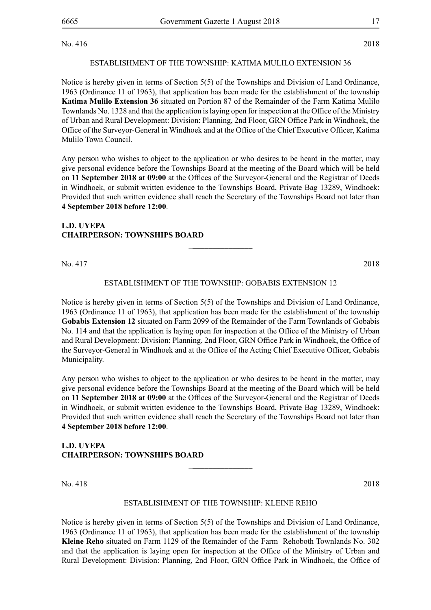No. 416 2018

#### ESTABLISHMENT OF THE TOWNSHIP: KATIMA MULILO EXTENSION 36

Notice is hereby given in terms of Section 5(5) of the Townships and Division of Land Ordinance, 1963 (Ordinance 11 of 1963), that application has been made for the establishment of the township **Katima Mulilo Extension 36** situated on Portion 87 of the Remainder of the Farm Katima Mulilo Townlands No. 1328 and that the application is laying open for inspection at the Office of the Ministry of Urban and Rural Development: Division: Planning, 2nd Floor, GRN Office Park in Windhoek, the Office of the Surveyor-General in Windhoek and at the Office of the Chief Executive Officer, Katima Mulilo Town Council.

Any person who wishes to object to the application or who desires to be heard in the matter, may give personal evidence before the Townships Board at the meeting of the Board which will be held on **11 September 2018 at 09:00** at the Offices of the Surveyor-General and the Registrar of Deeds in Windhoek, or submit written evidence to the Townships Board, Private Bag 13289, Windhoek: Provided that such written evidence shall reach the Secretary of the Townships Board not later than **4 September 2018 before 12:00**.

### **L.D. UYEPA CHAIRPERSON: TOWNSHIPS BOARD**

No. 417 2018

### ESTABLISHMENT OF THE TOWNSHIP: GOBABIS EXTENSION 12

\_**\_\_\_\_\_\_\_\_\_\_\_\_\_\_\_**

Notice is hereby given in terms of Section 5(5) of the Townships and Division of Land Ordinance, 1963 (Ordinance 11 of 1963), that application has been made for the establishment of the township **Gobabis Extension 12** situated on Farm 2099 of the Remainder of the Farm Townlands of Gobabis No. 114 and that the application is laying open for inspection at the Office of the Ministry of Urban and Rural Development: Division: Planning, 2nd Floor, GRN Office Park in Windhoek, the Office of the Surveyor-General in Windhoek and at the Office of the Acting Chief Executive Officer, Gobabis Municipality.

Any person who wishes to object to the application or who desires to be heard in the matter, may give personal evidence before the Townships Board at the meeting of the Board which will be held on **11 September 2018 at 09:00** at the Offices of the Surveyor-General and the Registrar of Deeds in Windhoek, or submit written evidence to the Townships Board, Private Bag 13289, Windhoek: Provided that such written evidence shall reach the Secretary of the Townships Board not later than **4 September 2018 before 12:00**.

## **L.D. UYEPA CHAIRPERSON: TOWNSHIPS BOARD**

No. 418 2018

#### ESTABLISHMENT OF THE TOWNSHIP: KLEINE REHO

\_**\_\_\_\_\_\_\_\_\_\_\_\_\_\_\_**

Notice is hereby given in terms of Section 5(5) of the Townships and Division of Land Ordinance, 1963 (Ordinance 11 of 1963), that application has been made for the establishment of the township **Kleine Reho** situated on Farm 1129 of the Remainder of the Farm Rehoboth Townlands No. 302 and that the application is laying open for inspection at the Office of the Ministry of Urban and Rural Development: Division: Planning, 2nd Floor, GRN Office Park in Windhoek, the Office of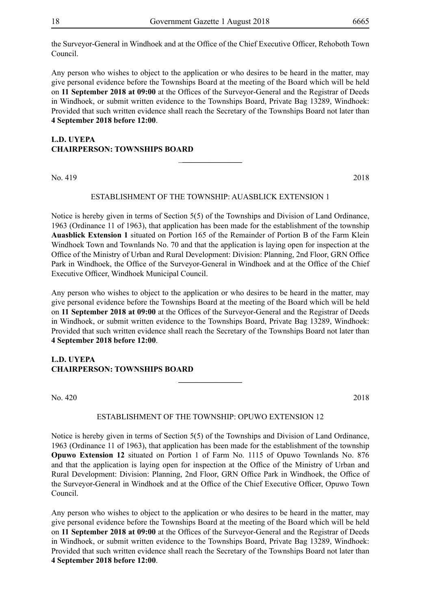the Surveyor-General in Windhoek and at the Office of the Chief Executive Officer, Rehoboth Town Council.

Any person who wishes to object to the application or who desires to be heard in the matter, may give personal evidence before the Townships Board at the meeting of the Board which will be held on **11 September 2018 at 09:00** at the Offices of the Surveyor-General and the Registrar of Deeds in Windhoek, or submit written evidence to the Townships Board, Private Bag 13289, Windhoek: Provided that such written evidence shall reach the Secretary of the Townships Board not later than **4 September 2018 before 12:00**.

## **L.D. UYEPA CHAIRPERSON: TOWNSHIPS BOARD**

No. 419 2018

#### ESTABLISHMENT OF THE TOWNSHIP: auasblick extension 1

\_**\_\_\_\_\_\_\_\_\_\_\_\_\_\_\_**

Notice is hereby given in terms of Section 5(5) of the Townships and Division of Land Ordinance, 1963 (Ordinance 11 of 1963), that application has been made for the establishment of the township **Auasblick Extension 1** situated on Portion 165 of the Remainder of Portion B of the Farm Klein Windhoek Town and Townlands No. 70 and that the application is laying open for inspection at the Office of the Ministry of Urban and Rural Development: Division: Planning, 2nd Floor, GRN Office Park in Windhoek, the Office of the Surveyor-General in Windhoek and at the Office of the Chief Executive Officer, Windhoek Municipal Council.

Any person who wishes to object to the application or who desires to be heard in the matter, may give personal evidence before the Townships Board at the meeting of the Board which will be held on **11 September 2018 at 09:00** at the Offices of the Surveyor-General and the Registrar of Deeds in Windhoek, or submit written evidence to the Townships Board, Private Bag 13289, Windhoek: Provided that such written evidence shall reach the Secretary of the Townships Board not later than **4 September 2018 before 12:00**.

### **L.D. UYEPA CHAIRPERSON: TOWNSHIPS BOARD**

No. 420 2018

#### ESTABLISHMENT OF THE TOWNSHIP: OPUWO EXTENSION 12

**\_\_\_\_\_\_\_\_\_\_\_\_\_\_\_\_**

Notice is hereby given in terms of Section 5(5) of the Townships and Division of Land Ordinance, 1963 (Ordinance 11 of 1963), that application has been made for the establishment of the township **Opuwo Extension 12** situated on Portion 1 of Farm No. 1115 of Opuwo Townlands No. 876 and that the application is laying open for inspection at the Office of the Ministry of Urban and Rural Development: Division: Planning, 2nd Floor, GRN Office Park in Windhoek, the Office of the Surveyor-General in Windhoek and at the Office of the Chief Executive Officer, Opuwo Town Council.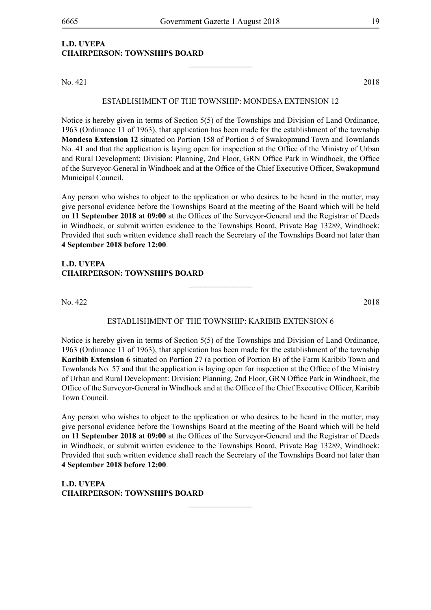\_**\_\_\_\_\_\_\_\_\_\_\_\_\_\_\_**

## **L.D. UYEPA CHAIRPERSON: TOWNSHIPS BOARD**

No. 421 2018

#### ESTABLISHMENT OF THE TOWNSHIP: MONDESA EXTENSION 12

Notice is hereby given in terms of Section 5(5) of the Townships and Division of Land Ordinance, 1963 (Ordinance 11 of 1963), that application has been made for the establishment of the township **Mondesa Extension 12** situated on Portion 158 of Portion 5 of Swakopmund Town and Townlands No. 41 and that the application is laying open for inspection at the Office of the Ministry of Urban and Rural Development: Division: Planning, 2nd Floor, GRN Office Park in Windhoek, the Office of the Surveyor-General in Windhoek and at the Office of the Chief Executive Officer, Swakopmund Municipal Council.

Any person who wishes to object to the application or who desires to be heard in the matter, may give personal evidence before the Townships Board at the meeting of the Board which will be held on **11 September 2018 at 09:00** at the Offices of the Surveyor-General and the Registrar of Deeds in Windhoek, or submit written evidence to the Townships Board, Private Bag 13289, Windhoek: Provided that such written evidence shall reach the Secretary of the Townships Board not later than **4 September 2018 before 12:00**.

### **L.D. UYEPA CHAIRPERSON: TOWNSHIPS BOARD**

No. 422 2018

#### ESTABLISHMENT OF THE TOWNSHIP: karibib extension 6

\_**\_\_\_\_\_\_\_\_\_\_\_\_\_\_\_**

Notice is hereby given in terms of Section 5(5) of the Townships and Division of Land Ordinance, 1963 (Ordinance 11 of 1963), that application has been made for the establishment of the township **Karibib Extension 6** situated on Portion 27 (a portion of Portion B) of the Farm Karibib Town and Townlands No. 57 and that the application is laying open for inspection at the Office of the Ministry of Urban and Rural Development: Division: Planning, 2nd Floor, GRN Office Park in Windhoek, the Office of the Surveyor-General in Windhoek and at the Office of the Chief Executive Officer, Karibib Town Council.

Any person who wishes to object to the application or who desires to be heard in the matter, may give personal evidence before the Townships Board at the meeting of the Board which will be held on **11 September 2018 at 09:00** at the Offices of the Surveyor-General and the Registrar of Deeds in Windhoek, or submit written evidence to the Townships Board, Private Bag 13289, Windhoek: Provided that such written evidence shall reach the Secretary of the Townships Board not later than **4 September 2018 before 12:00**.

**\_\_\_\_\_\_\_\_\_\_\_\_\_\_\_\_**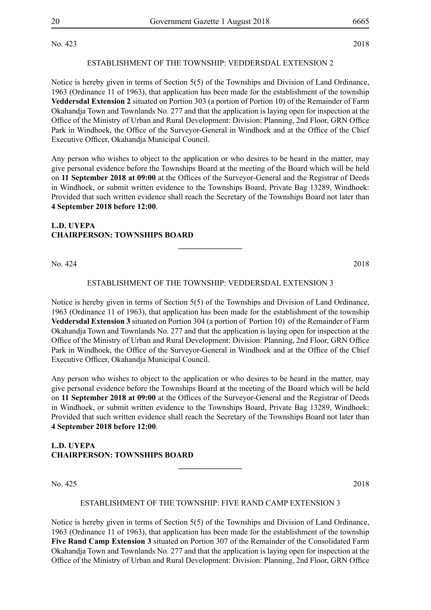No. 423 2018

#### ESTABLISHMENT OF THE TOWNSHIP: veddersdal extension 2

Notice is hereby given in terms of Section 5(5) of the Townships and Division of Land Ordinance, 1963 (Ordinance 11 of 1963), that application has been made for the establishment of the township **Veddersdal Extension 2** situated on Portion 303 (a portion of Portion 10) of the Remainder of Farm Okahandja Town and Townlands No. 277 and that the application is laying open for inspection at the Office of the Ministry of Urban and Rural Development: Division: Planning, 2nd Floor, GRN Office Park in Windhoek, the Office of the Surveyor-General in Windhoek and at the Office of the Chief Executive Officer, Okahandja Municipal Council.

Any person who wishes to object to the application or who desires to be heard in the matter, may give personal evidence before the Townships Board at the meeting of the Board which will be held on **11 September 2018 at 09:00** at the Offices of the Surveyor-General and the Registrar of Deeds in Windhoek, or submit written evidence to the Townships Board, Private Bag 13289, Windhoek: Provided that such written evidence shall reach the Secretary of the Townships Board not later than **4 September 2018 before 12:00**.

### **L.D. UYEPA CHAIRPERSON: TOWNSHIPS BOARD**

No. 424 2018

#### ESTABLISHMENT OF THE TOWNSHIP: veddersdal extension 3

**\_\_\_\_\_\_\_\_\_\_\_\_\_\_\_\_**

Notice is hereby given in terms of Section 5(5) of the Townships and Division of Land Ordinance, 1963 (Ordinance 11 of 1963), that application has been made for the establishment of the township **Veddersdal Extension 3** situated on Portion 304 (a portion of Portion 10) of the Remainder of Farm Okahandja Town and Townlands No. 277 and that the application is laying open for inspection at the Office of the Ministry of Urban and Rural Development: Division: Planning, 2nd Floor, GRN Office Park in Windhoek, the Office of the Surveyor-General in Windhoek and at the Office of the Chief Executive Officer, Okahandja Municipal Council.

Any person who wishes to object to the application or who desires to be heard in the matter, may give personal evidence before the Townships Board at the meeting of the Board which will be held on **11 September 2018 at 09:00** at the Offices of the Surveyor-General and the Registrar of Deeds in Windhoek, or submit written evidence to the Townships Board, Private Bag 13289, Windhoek: Provided that such written evidence shall reach the Secretary of the Townships Board not later than **4 September 2018 before 12:00**.

## **L.D. UYEPA CHAIRPERSON: TOWNSHIPS BOARD**

No. 425 2018

#### ESTABLISHMENT OF THE TOWNSHIP: FIVE RAND camp extension 3

**\_\_\_\_\_\_\_\_\_\_\_\_\_\_\_\_**

Notice is hereby given in terms of Section 5(5) of the Townships and Division of Land Ordinance, 1963 (Ordinance 11 of 1963), that application has been made for the establishment of the township **Five Rand Camp Extension 3** situated on Portion 307 of the Remainder of the Consolidated Farm Okahandja Town and Townlands No. 277 and that the application is laying open for inspection at the Office of the Ministry of Urban and Rural Development: Division: Planning, 2nd Floor, GRN Office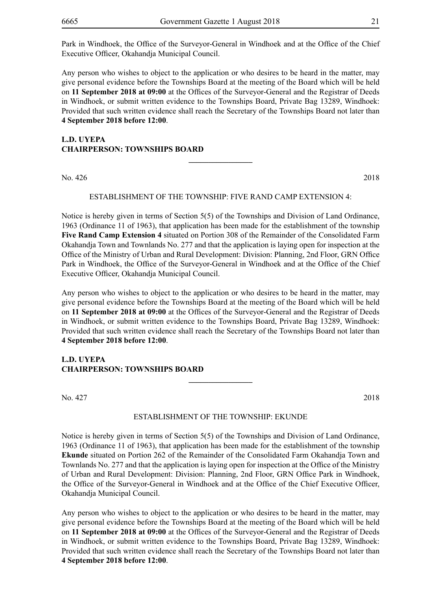Park in Windhoek, the Office of the Surveyor-General in Windhoek and at the Office of the Chief Executive Officer, Okahandja Municipal Council.

Any person who wishes to object to the application or who desires to be heard in the matter, may give personal evidence before the Townships Board at the meeting of the Board which will be held on **11 September 2018 at 09:00** at the Offices of the Surveyor-General and the Registrar of Deeds in Windhoek, or submit written evidence to the Townships Board, Private Bag 13289, Windhoek: Provided that such written evidence shall reach the Secretary of the Townships Board not later than **4 September 2018 before 12:00**.

## **L.D. UYEPA CHAIRPERSON: TOWNSHIPS BOARD**

No. 426 2018

#### ESTABLISHMENT OF THE TOWNSHIP: FIVE RAND camp extension 4:

**\_\_\_\_\_\_\_\_\_\_\_\_\_\_\_\_**

Notice is hereby given in terms of Section 5(5) of the Townships and Division of Land Ordinance, 1963 (Ordinance 11 of 1963), that application has been made for the establishment of the township **Five Rand Camp Extension 4** situated on Portion 308 of the Remainder of the Consolidated Farm Okahandja Town and Townlands No. 277 and that the application is laying open for inspection at the Office of the Ministry of Urban and Rural Development: Division: Planning, 2nd Floor, GRN Office Park in Windhoek, the Office of the Surveyor-General in Windhoek and at the Office of the Chief Executive Officer, Okahandja Municipal Council.

Any person who wishes to object to the application or who desires to be heard in the matter, may give personal evidence before the Townships Board at the meeting of the Board which will be held on **11 September 2018 at 09:00** at the Offices of the Surveyor-General and the Registrar of Deeds in Windhoek, or submit written evidence to the Townships Board, Private Bag 13289, Windhoek: Provided that such written evidence shall reach the Secretary of the Townships Board not later than **4 September 2018 before 12:00**.

#### **L.D. UYEPA CHAIRPERSON: TOWNSHIPS BOARD**

No. 427 2018

#### ESTABLISHMENT OF THE TOWNSHIP: ekunde

**\_\_\_\_\_\_\_\_\_\_\_\_\_\_\_\_**

Notice is hereby given in terms of Section 5(5) of the Townships and Division of Land Ordinance, 1963 (Ordinance 11 of 1963), that application has been made for the establishment of the township **Ekunde** situated on Portion 262 of the Remainder of the Consolidated Farm Okahandja Town and Townlands No. 277 and that the application is laying open for inspection at the Office of the Ministry of Urban and Rural Development: Division: Planning, 2nd Floor, GRN Office Park in Windhoek, the Office of the Surveyor-General in Windhoek and at the Office of the Chief Executive Officer, Okahandja Municipal Council.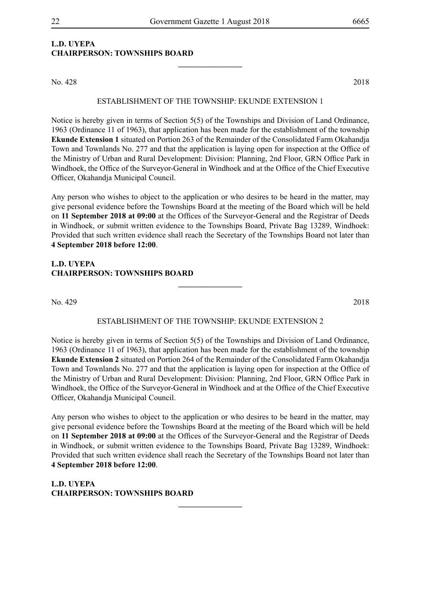## **L.D. UYEPA CHAIRPERSON: TOWNSHIPS BOARD**

No. 428 2018

### ESTABLISHMENT OF THE TOWNSHIP: ekunde EXTENSION 1

**\_\_\_\_\_\_\_\_\_\_\_\_\_\_\_\_**

Notice is hereby given in terms of Section 5(5) of the Townships and Division of Land Ordinance, 1963 (Ordinance 11 of 1963), that application has been made for the establishment of the township **Ekunde Extension 1** situated on Portion 263 of the Remainder of the Consolidated Farm Okahandja Town and Townlands No. 277 and that the application is laying open for inspection at the Office of the Ministry of Urban and Rural Development: Division: Planning, 2nd Floor, GRN Office Park in Windhoek, the Office of the Surveyor-General in Windhoek and at the Office of the Chief Executive Officer, Okahandja Municipal Council.

Any person who wishes to object to the application or who desires to be heard in the matter, may give personal evidence before the Townships Board at the meeting of the Board which will be held on **11 September 2018 at 09:00** at the Offices of the Surveyor-General and the Registrar of Deeds in Windhoek, or submit written evidence to the Townships Board, Private Bag 13289, Windhoek: Provided that such written evidence shall reach the Secretary of the Townships Board not later than **4 September 2018 before 12:00**.

## **L.D. UYEPA CHAIRPERSON: TOWNSHIPS BOARD**

No. 429 2018

## ESTABLISHMENT OF THE TOWNSHIP: ekunde EXTENSION 2

**\_\_\_\_\_\_\_\_\_\_\_\_\_\_\_\_**

Notice is hereby given in terms of Section 5(5) of the Townships and Division of Land Ordinance, 1963 (Ordinance 11 of 1963), that application has been made for the establishment of the township **Ekunde Extension 2** situated on Portion 264 of the Remainder of the Consolidated Farm Okahandja Town and Townlands No. 277 and that the application is laying open for inspection at the Office of the Ministry of Urban and Rural Development: Division: Planning, 2nd Floor, GRN Office Park in Windhoek, the Office of the Surveyor-General in Windhoek and at the Office of the Chief Executive Officer, Okahandja Municipal Council.

Any person who wishes to object to the application or who desires to be heard in the matter, may give personal evidence before the Townships Board at the meeting of the Board which will be held on **11 September 2018 at 09:00** at the Offices of the Surveyor-General and the Registrar of Deeds in Windhoek, or submit written evidence to the Townships Board, Private Bag 13289, Windhoek: Provided that such written evidence shall reach the Secretary of the Townships Board not later than **4 September 2018 before 12:00**.

**\_\_\_\_\_\_\_\_\_\_\_\_\_\_\_\_**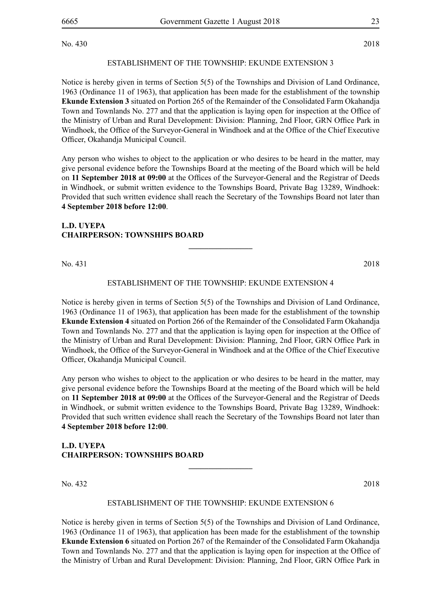No. 430 2018

### ESTABLISHMENT OF THE TOWNSHIP: ekunde EXTENSION 3

Notice is hereby given in terms of Section 5(5) of the Townships and Division of Land Ordinance, 1963 (Ordinance 11 of 1963), that application has been made for the establishment of the township **Ekunde Extension 3** situated on Portion 265 of the Remainder of the Consolidated Farm Okahandja Town and Townlands No. 277 and that the application is laying open for inspection at the Office of the Ministry of Urban and Rural Development: Division: Planning, 2nd Floor, GRN Office Park in Windhoek, the Office of the Surveyor-General in Windhoek and at the Office of the Chief Executive Officer, Okahandja Municipal Council.

Any person who wishes to object to the application or who desires to be heard in the matter, may give personal evidence before the Townships Board at the meeting of the Board which will be held on **11 September 2018 at 09:00** at the Offices of the Surveyor-General and the Registrar of Deeds in Windhoek, or submit written evidence to the Townships Board, Private Bag 13289, Windhoek: Provided that such written evidence shall reach the Secretary of the Townships Board not later than **4 September 2018 before 12:00**.

#### **L.D. UYEPA CHAIRPERSON: TOWNSHIPS BOARD**

No. 431 2018

### ESTABLISHMENT OF THE TOWNSHIP: ekunde EXTENSION 4

**\_\_\_\_\_\_\_\_\_\_\_\_\_\_\_\_**

Notice is hereby given in terms of Section 5(5) of the Townships and Division of Land Ordinance, 1963 (Ordinance 11 of 1963), that application has been made for the establishment of the township **Ekunde Extension 4** situated on Portion 266 of the Remainder of the Consolidated Farm Okahandja Town and Townlands No. 277 and that the application is laying open for inspection at the Office of the Ministry of Urban and Rural Development: Division: Planning, 2nd Floor, GRN Office Park in Windhoek, the Office of the Surveyor-General in Windhoek and at the Office of the Chief Executive Officer, Okahandja Municipal Council.

Any person who wishes to object to the application or who desires to be heard in the matter, may give personal evidence before the Townships Board at the meeting of the Board which will be held on **11 September 2018 at 09:00** at the Offices of the Surveyor-General and the Registrar of Deeds in Windhoek, or submit written evidence to the Townships Board, Private Bag 13289, Windhoek: Provided that such written evidence shall reach the Secretary of the Townships Board not later than **4 September 2018 before 12:00**.

## **L.D. UYEPA CHAIRPERSON: TOWNSHIPS BOARD**

No. 432 2018

#### ESTABLISHMENT OF THE TOWNSHIP: ekunde EXTENSION 6

**\_\_\_\_\_\_\_\_\_\_\_\_\_\_\_\_**

Notice is hereby given in terms of Section 5(5) of the Townships and Division of Land Ordinance, 1963 (Ordinance 11 of 1963), that application has been made for the establishment of the township **Ekunde Extension 6** situated on Portion 267 of the Remainder of the Consolidated Farm Okahandja Town and Townlands No. 277 and that the application is laying open for inspection at the Office of the Ministry of Urban and Rural Development: Division: Planning, 2nd Floor, GRN Office Park in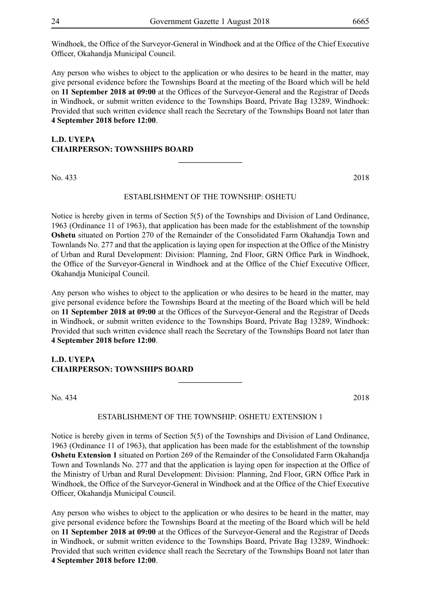Windhoek, the Office of the Surveyor-General in Windhoek and at the Office of the Chief Executive Officer, Okahandja Municipal Council.

Any person who wishes to object to the application or who desires to be heard in the matter, may give personal evidence before the Townships Board at the meeting of the Board which will be held on **11 September 2018 at 09:00** at the Offices of the Surveyor-General and the Registrar of Deeds in Windhoek, or submit written evidence to the Townships Board, Private Bag 13289, Windhoek: Provided that such written evidence shall reach the Secretary of the Townships Board not later than **4 September 2018 before 12:00**.

## **L.D. UYEPA CHAIRPERSON: TOWNSHIPS BOARD**

No. 433 2018

#### ESTABLISHMENT OF THE TOWNSHIP: OSHETU

**\_\_\_\_\_\_\_\_\_\_\_\_\_\_\_\_**

Notice is hereby given in terms of Section 5(5) of the Townships and Division of Land Ordinance, 1963 (Ordinance 11 of 1963), that application has been made for the establishment of the township **Oshetu** situated on Portion 270 of the Remainder of the Consolidated Farm Okahandja Town and Townlands No. 277 and that the application is laying open for inspection at the Office of the Ministry of Urban and Rural Development: Division: Planning, 2nd Floor, GRN Office Park in Windhoek, the Office of the Surveyor-General in Windhoek and at the Office of the Chief Executive Officer, Okahandja Municipal Council.

Any person who wishes to object to the application or who desires to be heard in the matter, may give personal evidence before the Townships Board at the meeting of the Board which will be held on **11 September 2018 at 09:00** at the Offices of the Surveyor-General and the Registrar of Deeds in Windhoek, or submit written evidence to the Townships Board, Private Bag 13289, Windhoek: Provided that such written evidence shall reach the Secretary of the Townships Board not later than **4 September 2018 before 12:00**.

### **L.D. UYEPA CHAIRPERSON: TOWNSHIPS BOARD**

No. 434 2018

#### ESTABLISHMENT OF THE TOWNSHIP: OSHETU EXTENSION 1

**\_\_\_\_\_\_\_\_\_\_\_\_\_\_\_\_**

Notice is hereby given in terms of Section 5(5) of the Townships and Division of Land Ordinance, 1963 (Ordinance 11 of 1963), that application has been made for the establishment of the township **Oshetu Extension 1** situated on Portion 269 of the Remainder of the Consolidated Farm Okahandja Town and Townlands No. 277 and that the application is laying open for inspection at the Office of the Ministry of Urban and Rural Development: Division: Planning, 2nd Floor, GRN Office Park in Windhoek, the Office of the Surveyor-General in Windhoek and at the Office of the Chief Executive Officer, Okahandja Municipal Council.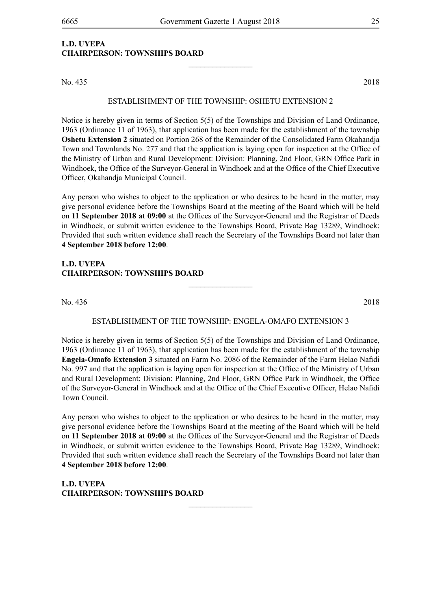**\_\_\_\_\_\_\_\_\_\_\_\_\_\_\_\_**

## **L.D. UYEPA CHAIRPERSON: TOWNSHIPS BOARD**

No. 435 2018

#### ESTABLISHMENT OF THE TOWNSHIP: OSHETU EXTENSION 2

Notice is hereby given in terms of Section 5(5) of the Townships and Division of Land Ordinance, 1963 (Ordinance 11 of 1963), that application has been made for the establishment of the township **Oshetu Extension 2** situated on Portion 268 of the Remainder of the Consolidated Farm Okahandja Town and Townlands No. 277 and that the application is laying open for inspection at the Office of the Ministry of Urban and Rural Development: Division: Planning, 2nd Floor, GRN Office Park in Windhoek, the Office of the Surveyor-General in Windhoek and at the Office of the Chief Executive Officer, Okahandja Municipal Council.

Any person who wishes to object to the application or who desires to be heard in the matter, may give personal evidence before the Townships Board at the meeting of the Board which will be held on **11 September 2018 at 09:00** at the Offices of the Surveyor-General and the Registrar of Deeds in Windhoek, or submit written evidence to the Townships Board, Private Bag 13289, Windhoek: Provided that such written evidence shall reach the Secretary of the Townships Board not later than **4 September 2018 before 12:00**.

### **L.D. UYEPA CHAIRPERSON: TOWNSHIPS BOARD**

No. 436 2018

#### ESTABLISHMENT OF THE TOWNSHIP: ENGELA-OMAFO EXTENSION 3

**\_\_\_\_\_\_\_\_\_\_\_\_\_\_\_\_**

Notice is hereby given in terms of Section 5(5) of the Townships and Division of Land Ordinance, 1963 (Ordinance 11 of 1963), that application has been made for the establishment of the township **Engela-Omafo Extension 3** situated on Farm No. 2086 of the Remainder of the Farm Helao Nafidi No. 997 and that the application is laying open for inspection at the Office of the Ministry of Urban and Rural Development: Division: Planning, 2nd Floor, GRN Office Park in Windhoek, the Office of the Surveyor-General in Windhoek and at the Office of the Chief Executive Officer, Helao Nafidi Town Council.

Any person who wishes to object to the application or who desires to be heard in the matter, may give personal evidence before the Townships Board at the meeting of the Board which will be held on **11 September 2018 at 09:00** at the Offices of the Surveyor-General and the Registrar of Deeds in Windhoek, or submit written evidence to the Townships Board, Private Bag 13289, Windhoek: Provided that such written evidence shall reach the Secretary of the Townships Board not later than **4 September 2018 before 12:00**.

**\_\_\_\_\_\_\_\_\_\_\_\_\_\_\_\_**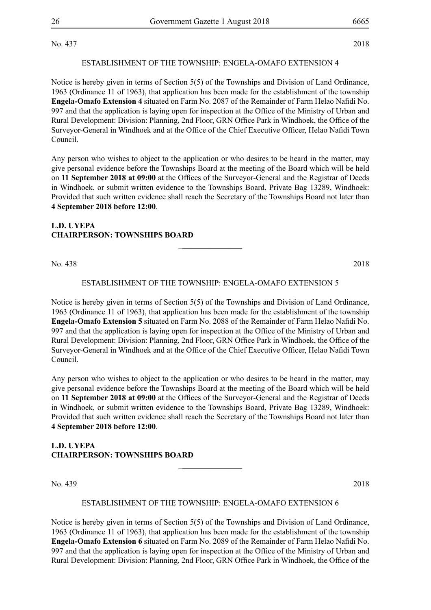No. 437 2018

#### ESTABLISHMENT OF THE TOWNSHIP: engela-omafo EXTENSION 4

Notice is hereby given in terms of Section 5(5) of the Townships and Division of Land Ordinance, 1963 (Ordinance 11 of 1963), that application has been made for the establishment of the township **Engela-Omafo Extension 4** situated on Farm No. 2087 of the Remainder of Farm Helao Nafidi No. 997 and that the application is laying open for inspection at the Office of the Ministry of Urban and Rural Development: Division: Planning, 2nd Floor, GRN Office Park in Windhoek, the Office of the Surveyor-General in Windhoek and at the Office of the Chief Executive Officer, Helao Nafidi Town Council.

Any person who wishes to object to the application or who desires to be heard in the matter, may give personal evidence before the Townships Board at the meeting of the Board which will be held on **11 September 2018 at 09:00** at the Offices of the Surveyor-General and the Registrar of Deeds in Windhoek, or submit written evidence to the Townships Board, Private Bag 13289, Windhoek: Provided that such written evidence shall reach the Secretary of the Townships Board not later than **4 September 2018 before 12:00**.

### **L.D. UYEPA CHAIRPERSON: TOWNSHIPS BOARD**

No. 438 2018

#### ESTABLISHMENT OF THE TOWNSHIP: engela-omafo EXTENSION 5

\_**\_\_\_\_\_\_\_\_\_\_\_\_\_\_\_**

Notice is hereby given in terms of Section 5(5) of the Townships and Division of Land Ordinance, 1963 (Ordinance 11 of 1963), that application has been made for the establishment of the township **Engela-Omafo Extension 5** situated on Farm No. 2088 of the Remainder of Farm Helao Nafidi No. 997 and that the application is laying open for inspection at the Office of the Ministry of Urban and Rural Development: Division: Planning, 2nd Floor, GRN Office Park in Windhoek, the Office of the Surveyor-General in Windhoek and at the Office of the Chief Executive Officer, Helao Nafidi Town Council.

Any person who wishes to object to the application or who desires to be heard in the matter, may give personal evidence before the Townships Board at the meeting of the Board which will be held on **11 September 2018 at 09:00** at the Offices of the Surveyor-General and the Registrar of Deeds in Windhoek, or submit written evidence to the Townships Board, Private Bag 13289, Windhoek: Provided that such written evidence shall reach the Secretary of the Townships Board not later than **4 September 2018 before 12:00**.

## **L.D. UYEPA CHAIRPERSON: TOWNSHIPS BOARD**

No. 439 2018

#### ESTABLISHMENT OF THE TOWNSHIP: engela-omafo EXTENSION 6

\_**\_\_\_\_\_\_\_\_\_\_\_\_\_\_\_**

Notice is hereby given in terms of Section 5(5) of the Townships and Division of Land Ordinance, 1963 (Ordinance 11 of 1963), that application has been made for the establishment of the township **Engela-Omafo Extension 6** situated on Farm No. 2089 of the Remainder of Farm Helao Nafidi No. 997 and that the application is laying open for inspection at the Office of the Ministry of Urban and Rural Development: Division: Planning, 2nd Floor, GRN Office Park in Windhoek, the Office of the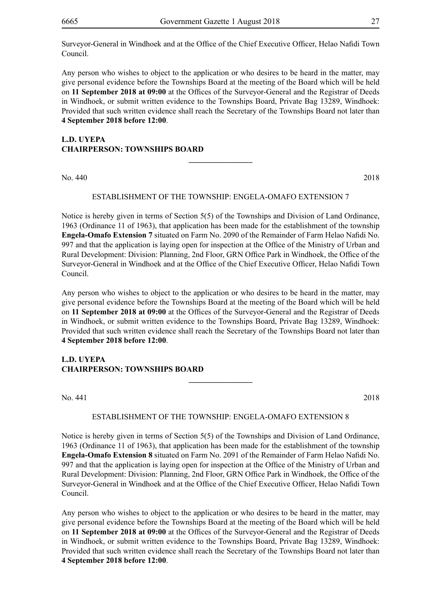Surveyor-General in Windhoek and at the Office of the Chief Executive Officer, Helao Nafidi Town Council.

Any person who wishes to object to the application or who desires to be heard in the matter, may give personal evidence before the Townships Board at the meeting of the Board which will be held on **11 September 2018 at 09:00** at the Offices of the Surveyor-General and the Registrar of Deeds in Windhoek, or submit written evidence to the Townships Board, Private Bag 13289, Windhoek: Provided that such written evidence shall reach the Secretary of the Townships Board not later than **4 September 2018 before 12:00**.

## **L.D. UYEPA CHAIRPERSON: TOWNSHIPS BOARD**

No. 440 2018

#### ESTABLISHMENT OF THE TOWNSHIP: engela-omafo EXTENSION 7

**\_\_\_\_\_\_\_\_\_\_\_\_\_\_\_\_**

Notice is hereby given in terms of Section 5(5) of the Townships and Division of Land Ordinance, 1963 (Ordinance 11 of 1963), that application has been made for the establishment of the township **Engela-Omafo Extension 7** situated on Farm No. 2090 of the Remainder of Farm Helao Nafidi No. 997 and that the application is laying open for inspection at the Office of the Ministry of Urban and Rural Development: Division: Planning, 2nd Floor, GRN Office Park in Windhoek, the Office of the Surveyor-General in Windhoek and at the Office of the Chief Executive Officer, Helao Nafidi Town Council.

Any person who wishes to object to the application or who desires to be heard in the matter, may give personal evidence before the Townships Board at the meeting of the Board which will be held on **11 September 2018 at 09:00** at the Offices of the Surveyor-General and the Registrar of Deeds in Windhoek, or submit written evidence to the Townships Board, Private Bag 13289, Windhoek: Provided that such written evidence shall reach the Secretary of the Townships Board not later than **4 September 2018 before 12:00**.

#### **L.D. UYEPA CHAIRPERSON: TOWNSHIPS BOARD**

No. 441 2018

#### ESTABLISHMENT OF THE TOWNSHIP: engela-omafo EXTENSION 8

**\_\_\_\_\_\_\_\_\_\_\_\_\_\_\_\_**

Notice is hereby given in terms of Section 5(5) of the Townships and Division of Land Ordinance, 1963 (Ordinance 11 of 1963), that application has been made for the establishment of the township **Engela-Omafo Extension 8** situated on Farm No. 2091 of the Remainder of Farm Helao Nafidi No. 997 and that the application is laying open for inspection at the Office of the Ministry of Urban and Rural Development: Division: Planning, 2nd Floor, GRN Office Park in Windhoek, the Office of the Surveyor-General in Windhoek and at the Office of the Chief Executive Officer, Helao Nafidi Town Council.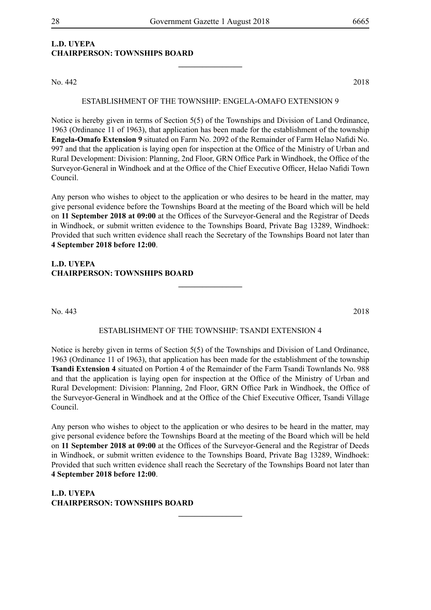**\_\_\_\_\_\_\_\_\_\_\_\_\_\_\_\_**

## **L.D. UYEPA CHAIRPERSON: TOWNSHIPS BOARD**

No. 442 2018

#### ESTABLISHMENT OF THE TOWNSHIP: engela-omafo EXTENSION 9

Notice is hereby given in terms of Section 5(5) of the Townships and Division of Land Ordinance, 1963 (Ordinance 11 of 1963), that application has been made for the establishment of the township **Engela-Omafo Extension 9** situated on Farm No. 2092 of the Remainder of Farm Helao Nafidi No. 997 and that the application is laying open for inspection at the Office of the Ministry of Urban and Rural Development: Division: Planning, 2nd Floor, GRN Office Park in Windhoek, the Office of the Surveyor-General in Windhoek and at the Office of the Chief Executive Officer, Helao Nafidi Town Council.

Any person who wishes to object to the application or who desires to be heard in the matter, may give personal evidence before the Townships Board at the meeting of the Board which will be held on **11 September 2018 at 09:00** at the Offices of the Surveyor-General and the Registrar of Deeds in Windhoek, or submit written evidence to the Townships Board, Private Bag 13289, Windhoek: Provided that such written evidence shall reach the Secretary of the Townships Board not later than **4 September 2018 before 12:00**.

## **L.D. UYEPA CHAIRPERSON: TOWNSHIPS BOARD**

No. 443 2018

#### ESTABLISHMENT OF THE TOWNSHIP: TSANDI extension 4

**\_\_\_\_\_\_\_\_\_\_\_\_\_\_\_\_**

Notice is hereby given in terms of Section 5(5) of the Townships and Division of Land Ordinance, 1963 (Ordinance 11 of 1963), that application has been made for the establishment of the township **Tsandi Extension 4** situated on Portion 4 of the Remainder of the Farm Tsandi Townlands No. 988 and that the application is laying open for inspection at the Office of the Ministry of Urban and Rural Development: Division: Planning, 2nd Floor, GRN Office Park in Windhoek, the Office of the Surveyor-General in Windhoek and at the Office of the Chief Executive Officer, Tsandi Village Council.

Any person who wishes to object to the application or who desires to be heard in the matter, may give personal evidence before the Townships Board at the meeting of the Board which will be held on **11 September 2018 at 09:00** at the Offices of the Surveyor-General and the Registrar of Deeds in Windhoek, or submit written evidence to the Townships Board, Private Bag 13289, Windhoek: Provided that such written evidence shall reach the Secretary of the Townships Board not later than **4 September 2018 before 12:00**.

**\_\_\_\_\_\_\_\_\_\_\_\_\_\_\_\_**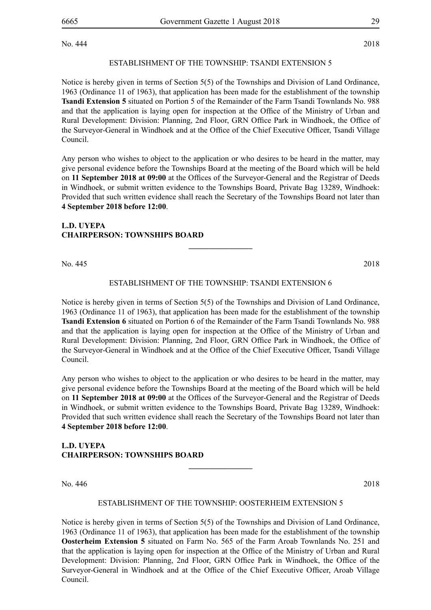No. 444 2018

#### ESTABLISHMENT OF THE TOWNSHIP: TSANDI extension 5

Notice is hereby given in terms of Section 5(5) of the Townships and Division of Land Ordinance, 1963 (Ordinance 11 of 1963), that application has been made for the establishment of the township **Tsandi Extension 5** situated on Portion 5 of the Remainder of the Farm Tsandi Townlands No. 988 and that the application is laying open for inspection at the Office of the Ministry of Urban and Rural Development: Division: Planning, 2nd Floor, GRN Office Park in Windhoek, the Office of the Surveyor-General in Windhoek and at the Office of the Chief Executive Officer, Tsandi Village Council.

Any person who wishes to object to the application or who desires to be heard in the matter, may give personal evidence before the Townships Board at the meeting of the Board which will be held on **11 September 2018 at 09:00** at the Offices of the Surveyor-General and the Registrar of Deeds in Windhoek, or submit written evidence to the Townships Board, Private Bag 13289, Windhoek: Provided that such written evidence shall reach the Secretary of the Townships Board not later than **4 September 2018 before 12:00**.

#### **L.D. UYEPA CHAIRPERSON: TOWNSHIPS BOARD**

No. 445 2018

### ESTABLISHMENT OF THE TOWNSHIP: TSANDI extension 6

**\_\_\_\_\_\_\_\_\_\_\_\_\_\_\_\_**

Notice is hereby given in terms of Section 5(5) of the Townships and Division of Land Ordinance, 1963 (Ordinance 11 of 1963), that application has been made for the establishment of the township **Tsandi Extension 6** situated on Portion 6 of the Remainder of the Farm Tsandi Townlands No. 988 and that the application is laying open for inspection at the Office of the Ministry of Urban and Rural Development: Division: Planning, 2nd Floor, GRN Office Park in Windhoek, the Office of the Surveyor-General in Windhoek and at the Office of the Chief Executive Officer, Tsandi Village Council.

Any person who wishes to object to the application or who desires to be heard in the matter, may give personal evidence before the Townships Board at the meeting of the Board which will be held on **11 September 2018 at 09:00** at the Offices of the Surveyor-General and the Registrar of Deeds in Windhoek, or submit written evidence to the Townships Board, Private Bag 13289, Windhoek: Provided that such written evidence shall reach the Secretary of the Townships Board not later than **4 September 2018 before 12:00**.

## **L.D. UYEPA CHAIRPERSON: TOWNSHIPS BOARD**

No. 446 2018

#### ESTABLISHMENT OF THE TOWNSHIP: OOSTERHEIM extension 5

**\_\_\_\_\_\_\_\_\_\_\_\_\_\_\_\_**

Notice is hereby given in terms of Section 5(5) of the Townships and Division of Land Ordinance, 1963 (Ordinance 11 of 1963), that application has been made for the establishment of the township **Oosterheim Extension 5** situated on Farm No. 565 of the Farm Aroab Townlands No. 251 and that the application is laying open for inspection at the Office of the Ministry of Urban and Rural Development: Division: Planning, 2nd Floor, GRN Office Park in Windhoek, the Office of the Surveyor-General in Windhoek and at the Office of the Chief Executive Officer, Aroab Village Council.